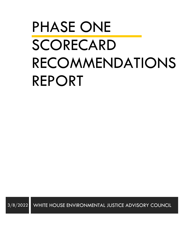# PHASE ONE SCORECARD RECOMMENDATIONS REPORT

3/8/2022 WHITE HOUSE ENVIRONMENTAL JUSTICE ADVISORY COUNCIL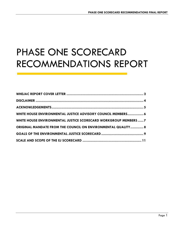# PHASE ONE SCORECARD RECOMMENDATIONS REPORT

| WHITE HOUSE ENVIRONMENTAL JUSTICE ADVISORY COUNCIL MEMBERS 6    |  |
|-----------------------------------------------------------------|--|
| WHITE HOUSE ENVIRONMENTAL JUSTICE SCORECARD WORKGROUP MEMBERS 7 |  |
| ORIGINAL MANDATE FROM THE COUNCIL ON ENVIRONMENTAL QUALITY 8    |  |
|                                                                 |  |
|                                                                 |  |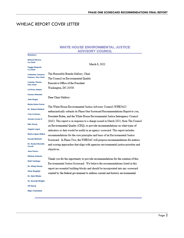### <span id="page-2-0"></span>WHEJAC REPORT COVER LETTER

| March 8, 2022                                                                                                                                                       |
|---------------------------------------------------------------------------------------------------------------------------------------------------------------------|
|                                                                                                                                                                     |
| The Honorable Brenda Mallory, Chair                                                                                                                                 |
| The Council on Environmental Quality                                                                                                                                |
| Executive Office of the President                                                                                                                                   |
| Washington, DC 20500                                                                                                                                                |
| Susana Almanza                                                                                                                                                      |
| Dear Chair Mallory:                                                                                                                                                 |
|                                                                                                                                                                     |
| The White House Environmental Justice Advisory Council (WHEJAC)                                                                                                     |
| enthusiastically submits its Phase One Scorecard Recommendations Report to you,                                                                                     |
| President Biden, and the White House Environmental Justice Interagency Council                                                                                      |
| (IAC). This report is in response to a charge issued in March 2021, from The Council                                                                                |
| on Environmental Quality (CEQ), to provide recommendations on what types of                                                                                         |
| indicators or data would be useful in an agency scorecard. This report includes                                                                                     |
| recommendations for the core principles and basis of an Environmental Justice                                                                                       |
| Scorecard. In Phase Two, the WHEJAC will propose recommendations for metrics                                                                                        |
| and scoring approaches that align with agencies environmental justice priorities and                                                                                |
| objectives.                                                                                                                                                         |
|                                                                                                                                                                     |
| Thank you for the opportunity to provide recommendations for the creation of this<br>Environmental Justice Scorecard. We believe the recommendations listed in this |
|                                                                                                                                                                     |
| report are essential building-blocks and should be incorporated into any scorecard                                                                                  |
| created by the federal government to address current and historic environmental                                                                                     |
|                                                                                                                                                                     |
|                                                                                                                                                                     |
|                                                                                                                                                                     |
|                                                                                                                                                                     |

#### **WHITE HOUSE ENVIRONMENTAL JUSTICE ADVISORY COUNCIL**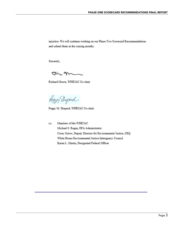injustice. We will continue working on our Phase Two Scorecard Recommendations and submit them in the coming months.

Sincerely,

 $Q - M$ 

Richard Moore, WHEJAC Co-chair

foggy Shepard

Peggy M. Shepard, WHEJAC Co-chair

Members of the WHEJAC cc: Michael S. Regan, EPA Administrator Corey Solow, Deputy Director for Environmental Justice, CEQ White House Environmental Justice Interagency Council Karen L. Martin, Designated Federal Officer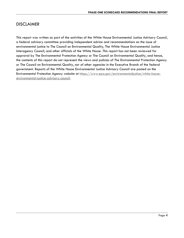#### <span id="page-4-0"></span>**DISCLAIMER**

This report was written as part of the activities of the White House Environmental Justice Advisory Council, a federal advisory committee providing independent advice and recommendations on the issue of environmental justice to The Council on Environmental Quality, The White House Environmental Justice Interagency Council, and other officials of the White House. This report has not been reviewed for approval by The Environmental Protection Agency or The Council on Environmental Quality, and hence, the contents of this report do not represent the views and policies of The Environmental Protection Agency or The Council on Environmental Quality, nor of other agencies in the Executive Branch of the federal government. Reports of the White House Environmental Justice Advisory Council are posted on the Environmental Protection Agency website at [https://www.epa.gov/environmentaljustice/white-house](https://www.epa.gov/environmentaljustice/white-house-environmental-justice-advisory-council)[environmental-justice-advisory-council.](https://www.epa.gov/environmentaljustice/white-house-environmental-justice-advisory-council)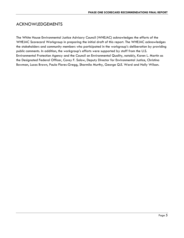#### <span id="page-5-0"></span>ACKNOWLEDGEMENTS

The White House Environmental Justice Advisory Council (WHEJAC) acknowledges the efforts of the WHEJAC Scorecard Workgroup in preparing the initial draft of this report. The WHEJAC acknowledges the stakeholders and community members who participated in the workgroup's deliberation by providing public comments. In addition, the workgroup's efforts were supported by staff from the U.S. Environmental Protection Agency and the Council on Environmental Quality, notably, Karen L. Martin as the Designated Federal Officer, Corey F. Solow, Deputy Director for Environmental Justice, Christina Bowman, Lucas Brown, Paula Flores-Gregg, Sharmila Murthy, George Q.E. Ward and Holly Wilson.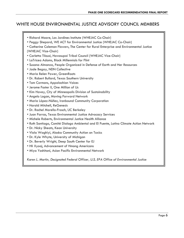## <span id="page-6-0"></span>WHITE HOUSE ENVIRONMENTAL JUSTICE ADVISORY COUNCIL MEMBERS

| • Richard Moore, Los Jardines Institute (WHEJAC Co-Chair)<br>. Peggy Shepard, WE ACT for Environmental Justice (WHEJAC Co-Chair)<br>• Catherine Coleman Flowers, The Center for Rural Enterprise and Environmental Justice<br>(WHEJAC Vice-Chair)<br>• Carletta Tilousi, Havasupai Tribal Council (WHEJAC Vice-Chair)<br>• LaTricea Adams, Black Millennials for Flint<br>. Susana Almanza, People Organized in Defense of Earth and Her Resources<br>• Jade Begay, NDN Collective<br>. Maria Belen Power, GreenRoots<br>. Dr. Robert Bullard, Texas Southern University<br>• Tom Cormons, Appalachian Voices<br>• Jerome Foster II, One Million of Us<br>• Kim Havey, City of Minneapolis Division of Sustainability<br>• Angelo Logan, Moving Forward Network<br>· Maria López-Núñez, Ironbound Community Corporation<br>• Harold Mitchell, ReGenesis<br>· Dr. Rachel Morello-Frosch, UC Berkeley<br>• Juan Parras, Texas Environmental Justice Advocacy Services<br>• Michele Roberts, Environmental Justice Health Alliance<br>• Ruth Santiago, Comité Dialogo Ambiental and El Puente, Latino Climate Action Network<br>• Dr. Nicky Sheats, Kean University |
|------------------------------------------------------------------------------------------------------------------------------------------------------------------------------------------------------------------------------------------------------------------------------------------------------------------------------------------------------------------------------------------------------------------------------------------------------------------------------------------------------------------------------------------------------------------------------------------------------------------------------------------------------------------------------------------------------------------------------------------------------------------------------------------------------------------------------------------------------------------------------------------------------------------------------------------------------------------------------------------------------------------------------------------------------------------------------------------------------------------------------------------------------------------|
|                                                                                                                                                                                                                                                                                                                                                                                                                                                                                                                                                                                                                                                                                                                                                                                                                                                                                                                                                                                                                                                                                                                                                                  |
|                                                                                                                                                                                                                                                                                                                                                                                                                                                                                                                                                                                                                                                                                                                                                                                                                                                                                                                                                                                                                                                                                                                                                                  |
|                                                                                                                                                                                                                                                                                                                                                                                                                                                                                                                                                                                                                                                                                                                                                                                                                                                                                                                                                                                                                                                                                                                                                                  |
|                                                                                                                                                                                                                                                                                                                                                                                                                                                                                                                                                                                                                                                                                                                                                                                                                                                                                                                                                                                                                                                                                                                                                                  |
|                                                                                                                                                                                                                                                                                                                                                                                                                                                                                                                                                                                                                                                                                                                                                                                                                                                                                                                                                                                                                                                                                                                                                                  |
|                                                                                                                                                                                                                                                                                                                                                                                                                                                                                                                                                                                                                                                                                                                                                                                                                                                                                                                                                                                                                                                                                                                                                                  |
|                                                                                                                                                                                                                                                                                                                                                                                                                                                                                                                                                                                                                                                                                                                                                                                                                                                                                                                                                                                                                                                                                                                                                                  |
| . Viola Waghiyi, Alaska Community Action on Toxics                                                                                                                                                                                                                                                                                                                                                                                                                                                                                                                                                                                                                                                                                                                                                                                                                                                                                                                                                                                                                                                                                                               |
| . Dr. Kyle Whyte, University of Michigan                                                                                                                                                                                                                                                                                                                                                                                                                                                                                                                                                                                                                                                                                                                                                                                                                                                                                                                                                                                                                                                                                                                         |
| . Dr. Beverly Wright, Deep South Center for EJ                                                                                                                                                                                                                                                                                                                                                                                                                                                                                                                                                                                                                                                                                                                                                                                                                                                                                                                                                                                                                                                                                                                   |
| • Hli Xyooj, Advancement of Hmong Americans                                                                                                                                                                                                                                                                                                                                                                                                                                                                                                                                                                                                                                                                                                                                                                                                                                                                                                                                                                                                                                                                                                                      |
| • Miya Yoshitani, Asian Pacific Environmental Network                                                                                                                                                                                                                                                                                                                                                                                                                                                                                                                                                                                                                                                                                                                                                                                                                                                                                                                                                                                                                                                                                                            |

*Karen L. Martin, Designated Federal Officer, U.S. EPA Office of Environmental Justice*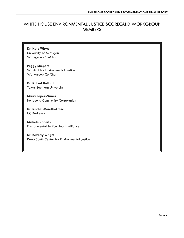### <span id="page-7-0"></span>WHITE HOUSE ENVIRONMENTAL JUSTICE SCORECARD WORKGROUP MEMBERS

**Dr. Kyle Whyte** University of Michigan Workgroup Co-Chair

**Peggy Shepard** WE ACT for Environmental Justice Workgroup Co-Chair

**Dr. Robert Bullard** Texas Southern University

**Maria López-Núñez**  Ironbound Community Corporation

**Dr. Rachel Morello-Frosch** UC Berkeley

**Michele Roberts** Environmental Justice Health Alliance

**Dr. Beverly Wright** Deep South Center for Environmental Justice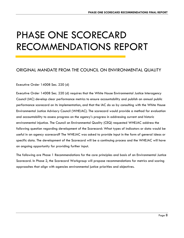# PHASE ONE SCORECARD RECOMMENDATIONS REPORT

#### <span id="page-8-0"></span>ORIGINAL MANDATE FROM THE COUNCIL ON ENVIRONMENTAL QUALITY

#### Executive Order 14008 Sec. 220 (d)

Executive Order 14008 Sec. 220 (d) requires that the White House Environmental Justice Interagency Council (IAC) develop clear performance metrics to ensure accountability and publish an annual public performance scorecard on its implementation, and that the IAC do so by consulting with the White House Environmental Justice Advisory Council (WHEJAC). The scorecard would provide a method for evaluation and accountability to assess progress on the agency's progress in addressing current and historic environmental injustice. The Council on Environmental Quality (CEQ) requested WHEJAC address the following question regarding development of the Scorecard: What types of indicators or data would be useful in an agency scorecard? The WHEJAC was asked to provide input in the form of general ideas or specific data. The development of the Scorecard will be a continuing process and the WHEJAC will have an ongoing opportunity for providing further input.

The following are Phase 1 Recommendations for the core principles and basis of an Environmental Justice Scorecard. In Phase 2, the Scorecard Workgroup will propose recommendations for metrics and scoring approaches that align with agencies environmental justice priorities and objectives.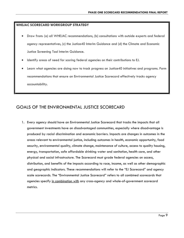#### **WHEJAC SCORECARD WORKGROUP STRATEGY**

- Draw from: (a) all WHEJAC recommendations, (b) consultations with outside experts and federal agency representatives, (c) the Justice40 Interim Guidance and (d) the Climate and Economic Justice Screening Tool Interim Guidance.
- Identify areas of need for scoring federal agencies on their contributions to EJ.
- Learn what agencies are doing now to track progress on Justice40 initiatives and programs. Form recommendations that ensure an Environmental Justice Scorecard effectively tracks agency accountability.

#### <span id="page-9-0"></span>GOALS OF THE ENVIRONMENTAL JUSTICE SCORECARD

1. Every agency should have an Environmental Justice Scorecard that tracks the impacts that all government investments have on disadvantaged communities, especially where disadvantage is produced by racial discrimination and economic barriers. Impacts are changes in outcomes in the areas relevant to environmental justice, including outcomes in health, economic opportunity, food security, environmental quality, climate change, maintenance of culture, access to quality housing, energy, transportation, safe affordable drinking water and sanitation, health care, and other physical and social infrastructure. The Scorecard must grade federal agencies on access, distribution, and benefits of the impacts according to race, income, as well as other demographic and geographic indicators. These recommendations will refer to the "EJ Scorecard" and agency scale scorecards. The "Environmental Justice Scorecard" refers to all combined scorecards that agencies specify in combination with any cross-agency and whole-of-government scorecard metrics.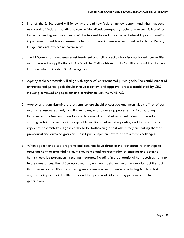- 2. In brief, the EJ Scorecard will follow where and how federal money is spent, and what happens as a result of federal spending to communities disadvantaged by racial and economic inequities. Federal spending and investments will be tracked to evaluate community-level impacts, benefits, improvements, and lessons learned in terms of advancing environmental justice for Black, Brown, Indigenous and low-income communities.
- 3. The EJ Scorecard should ensure just treatment and full protection for disadvantaged communities and advance the application of Title VI of the Civil Rights Act of 1964 (Title VI) and the National Environmental Policy Act (NEPA) in agencies.
- 4. Agency scale scorecards will align with agencies' environmental justice goals. The establishment of environmental justice goals should involve a review and approval process established by CEQ, including continued engagement and consultation with the WHEJAC.
- 5. Agency and administrative professional culture should encourage and incentivize staff to reflect and share lessons learned, including mistakes, and to develop processes for incorporating iterative and bidirectional feedback with communities and other stakeholders for the sake of crafting sustainable and socially equitable solutions that avoid repeating and that redress the impact of past mistakes. Agencies should be forthcoming about where they are falling short of procedural and outcome goals and solicit public input on how to address these challenges.
- 6. When agency endorsed programs and activities have direct or indirect causal relationships to occurring harm or potential harm, the existence and representation of ongoing and potential harms should be paramount in scoring measures, including intergenerational harm, such as harm to future generations. The EJ Scorecard must by no means dehumanize or render abstract the fact that diverse communities are suffering severe environmental burdens, including burdens that negatively impact their health today and that pose real risks to living persons and future generations.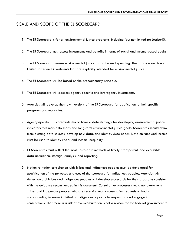#### <span id="page-11-0"></span>SCALE AND SCOPE OF THE EJ SCORECARD

- 1. The EJ Scorecard is for all environmental justice programs, including (but not limited to) Justice40.
- 2. The EJ Scorecard must assess investments and benefits in terms of racial and income-based equity.
- 3. The EJ Scorecard assesses environmental justice for all federal spending. The EJ Scorecard is not limited to federal investments that are explicitly intended for environmental justice.
- 4. The EJ Scorecard will be based on the precautionary principle.
- 5. The EJ Scorecard will address agency specific and interagency investments.
- 6. Agencies will develop their own versions of the EJ Scorecard for application to their specific programs and mandates.
- 7. Agency-specific EJ Scorecards should have a data strategy for developing environmental justice indicators that map onto short- and long-term environmental justice goals. Scorecards should draw from existing data sources, develop new data, and identify data needs. Data on race and income must be used to identify racial and income inequality.
- 8. EJ Scorecards must reflect the most up-to-date methods of timely, transparent, and accessible data acquisition, storage, analysis, and reporting.
- 9. Nation-to-nation consultation with Tribes and Indigenous peoples must be developed for specification of the purposes and uses of the scorecard for Indigenous peoples. Agencies with duties toward Tribes and Indigenous peoples will develop scorecards for their programs consistent with the guidance recommended in this document. Consultative processes should not overwhelm Tribes and Indigenous peoples who are receiving many consultation requests without a corresponding increase in Tribal or Indigenous capacity to respond to and engage in consultations. That there is a risk of over-consultation is not a reason for the federal government to